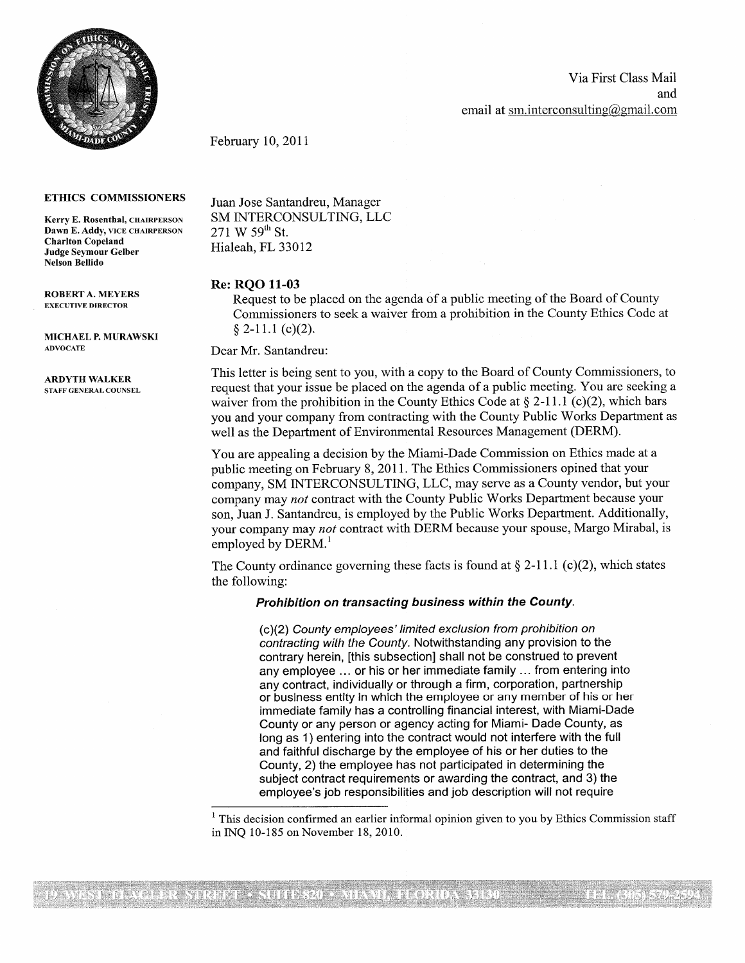

Via First Class Mail and email at sm[.](http://cligmail.com) interconsulting $(\omega)$ gmail.[com](http://cligmail.com)

February 10, 2011

Dawn E. Addy, VICE CHAIRPERSON Charlton Copeland Nelson Bellido

MICHAEL P. MURAWSKI

ARDYTH WALKER

ETHICS COMMISSIONERS Juan Jose Santandreu, Manager Kerry E. Rosenthal, CHAIRPERSON SM INTERCONSULTING, LLC<br>Dawn E. Addy, VICE CHAIRPERSON  $271 \text{ W } 59^{\text{th}} \text{ St.}$ Hialeah, FL 33012

## **Re: RQO 11-03**

ROBERT A. MEYERS Request to be placed on the agenda of a public meeting of the Board of County Commissioners to seek a waiver from a prohibition in the County Ethics Code at  $§ 2-11.1 (c)(2).$ 

ADVOCATE Dear Mr. Santandreu:

This letter is being sent to you, with a copy to the Board of County Commissioners, to STAFF GENERAL COUNSEL request that your issue be placed on the agenda of a public meeting. You are seeking a waiver from the prohibition in the County Ethics Code at  $\S 2-11.1$  (c)(2), which bars you and your company from contracting with the County Public Works Department as well as the Department of Environmental Resources Management (DERM).

> You are appealing a decision by the Miami-Dade Commission on Ethics made at a public meeting on February 8, 2011. The Ethics Commissioners opined that your company, SM INTERCONSULTING, LLC, may serve as a County vendor, but your company may *not* contract with the County Public Works Department because your son, Juan J. Santandreu, is employed by the Public Works Department. Additionally, your company may *not* contract with DERM because your spouse, Margo Mirabal, is employed by DERM.<sup>1</sup>

The County ordinance governing these facts is found at  $\S 2-11.1$  (c)(2), which states the following:

## *Prohibition on transacting business within the County.*

*(c)(2) County employees' limited exclusion from prohibition on contracting with the County.* Notwithstanding any provision to the contrary herein, [this subsection] shall not be construed to prevent any employee ... or his or her immediate family ... from entering into any contract, individually or through a firm, corporation, partnership or business entity in which the employee or any member of his or her immediate family has a controlling financial interest, with Miami-Dade County or any person or agency acting for Miami- Dade County, as long as 1) entering into the contract would not interfere with the full and faithful discharge by the employee of his or her duties to the County, 2) the employee has not participated in determining the subject contract requirements or awarding the contract, and 3) the employee's job responsibilities and job description will not require

 $<sup>1</sup>$  This decision confirmed an earlier informal opinion given to you by Ethics Commission staff</sup> in INQ 10-185 on November 18, 2010.